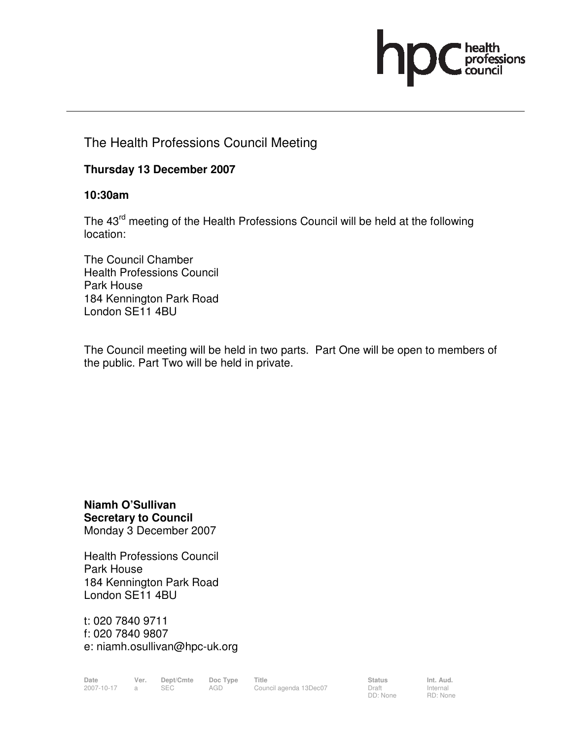

# The Health Professions Council Meeting

### **Thursday 13 December 2007**

#### **10:30am**

The 43<sup>rd</sup> meeting of the Health Professions Council will be held at the following location:

The Council Chamber Health Professions Council Park House 184 Kennington Park Road London SE11 4BU

The Council meeting will be held in two parts. Part One will be open to members of the public. Part Two will be held in private.

**Niamh O'Sullivan Secretary to Council**  Monday 3 December 2007

Health Professions Council Park House 184 Kennington Park Road London SE11 4BU

t: 020 7840 9711 f: 020 7840 9807 e: niamh.osullivan@hpc-uk.org

Date Ver. Dept/Cmte Doc<sup>Type</sup> Title **Status** Status Int. Aud. 2007-10-17 a SEC AGD Council agenda 13Dec07 Draft

DD: None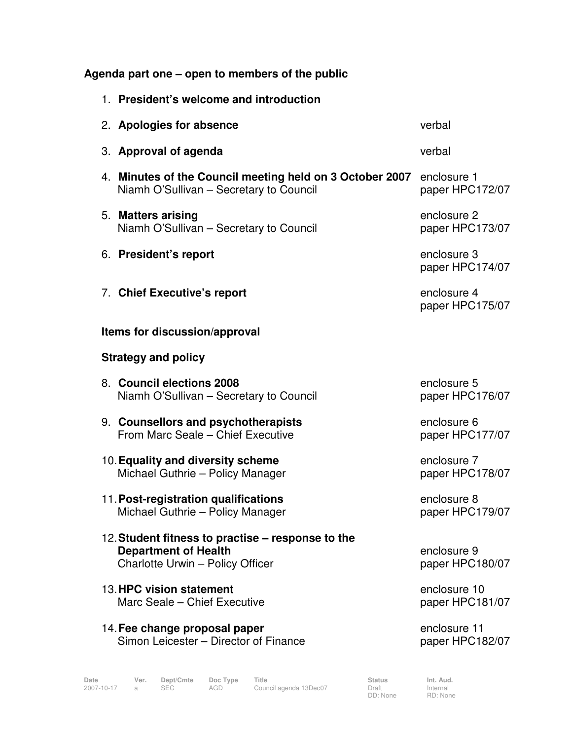**Agenda part one – open to members of the public** 

| 1. President's welcome and introduction                                                                              |                                 |  |  |  |  |
|----------------------------------------------------------------------------------------------------------------------|---------------------------------|--|--|--|--|
| 2. Apologies for absence                                                                                             | verbal                          |  |  |  |  |
| 3. Approval of agenda                                                                                                | verbal                          |  |  |  |  |
| 4. Minutes of the Council meeting held on 3 October 2007<br>Niamh O'Sullivan - Secretary to Council                  | enclosure 1<br>paper HPC172/07  |  |  |  |  |
| 5. Matters arising<br>Niamh O'Sullivan - Secretary to Council                                                        | enclosure 2<br>paper HPC173/07  |  |  |  |  |
| 6. President's report                                                                                                | enclosure 3<br>paper HPC174/07  |  |  |  |  |
| 7. Chief Executive's report                                                                                          | enclosure 4<br>paper HPC175/07  |  |  |  |  |
| Items for discussion/approval                                                                                        |                                 |  |  |  |  |
| <b>Strategy and policy</b>                                                                                           |                                 |  |  |  |  |
| 8. Council elections 2008<br>Niamh O'Sullivan - Secretary to Council                                                 | enclosure 5<br>paper HPC176/07  |  |  |  |  |
| 9. Counsellors and psychotherapists<br>From Marc Seale - Chief Executive                                             | enclosure 6<br>paper HPC177/07  |  |  |  |  |
| 10. Equality and diversity scheme<br>Michael Guthrie - Policy Manager                                                | enclosure 7<br>paper HPC178/07  |  |  |  |  |
| 11. Post-registration qualifications<br>Michael Guthrie - Policy Manager                                             | enclosure 8<br>paper HPC179/07  |  |  |  |  |
| 12. Student fitness to practise – response to the<br><b>Department of Health</b><br>Charlotte Urwin - Policy Officer | enclosure 9<br>paper HPC180/07  |  |  |  |  |
| 13. HPC vision statement<br>Marc Seale - Chief Executive                                                             | enclosure 10<br>paper HPC181/07 |  |  |  |  |
| 14. Fee change proposal paper<br>Simon Leicester - Director of Finance                                               | enclosure 11<br>paper HPC182/07 |  |  |  |  |
|                                                                                                                      |                                 |  |  |  |  |

Date Ver. Dept/Cmte Doc<sup>Type</sup> Title **Status** Status Int. Aud. 2007-10-17 a SEC AGD Council agenda 13Dec07 Draft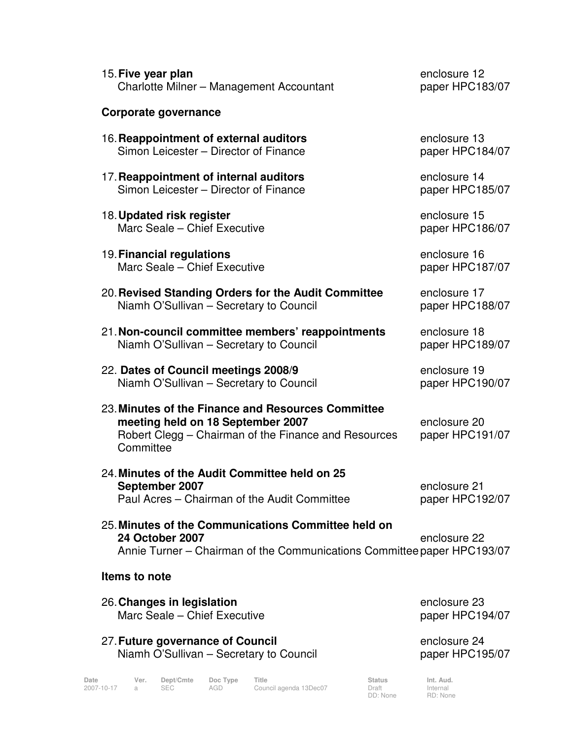| 15. Five year plan                                                                                                                                           | enclosure 12                    |
|--------------------------------------------------------------------------------------------------------------------------------------------------------------|---------------------------------|
| Charlotte Milner - Management Accountant                                                                                                                     | paper HPC183/07                 |
| Corporate governance                                                                                                                                         |                                 |
| 16. Reappointment of external auditors                                                                                                                       | enclosure 13                    |
| Simon Leicester - Director of Finance                                                                                                                        | paper HPC184/07                 |
| 17. Reappointment of internal auditors                                                                                                                       | enclosure 14                    |
| Simon Leicester - Director of Finance                                                                                                                        | paper HPC185/07                 |
| 18. Updated risk register                                                                                                                                    | enclosure 15                    |
| Marc Seale - Chief Executive                                                                                                                                 | paper HPC186/07                 |
| 19. Financial regulations                                                                                                                                    | enclosure 16                    |
| Marc Seale - Chief Executive                                                                                                                                 | paper HPC187/07                 |
| 20. Revised Standing Orders for the Audit Committee                                                                                                          | enclosure 17                    |
| Niamh O'Sullivan - Secretary to Council                                                                                                                      | paper HPC188/07                 |
| 21. Non-council committee members' reappointments                                                                                                            | enclosure 18                    |
| Niamh O'Sullivan - Secretary to Council                                                                                                                      | paper HPC189/07                 |
| 22. Dates of Council meetings 2008/9                                                                                                                         | enclosure 19                    |
| Niamh O'Sullivan - Secretary to Council                                                                                                                      | paper HPC190/07                 |
| 23. Minutes of the Finance and Resources Committee<br>meeting held on 18 September 2007<br>Robert Clegg - Chairman of the Finance and Resources<br>Committee | enclosure 20<br>paper HPC191/07 |
| 24. Minutes of the Audit Committee held on 25<br>September 2007<br>Paul Acres – Chairman of the Audit Committee                                              | enclosure 21<br>paper HPC192/07 |
| 25. Minutes of the Communications Committee held on<br>24 October 2007<br>Annie Turner – Chairman of the Communications Committee paper HPC193/07            | enclosure 22                    |
| Items to note                                                                                                                                                |                                 |
| 26. Changes in legislation                                                                                                                                   | enclosure 23                    |
| Marc Seale - Chief Executive                                                                                                                                 | paper HPC194/07                 |
| 27. Future governance of Council                                                                                                                             | enclosure 24                    |
| Niamh O'Sullivan - Secretary to Council                                                                                                                      | paper HPC195/07                 |

Date Ver. Dept/Cmte Doc<sup>Type</sup> Title **Status** Status Int. Aud. 2007-10-17 a SEC AGD Council agenda 13Dec07 Draft

Status<br>Draft<br>DD: None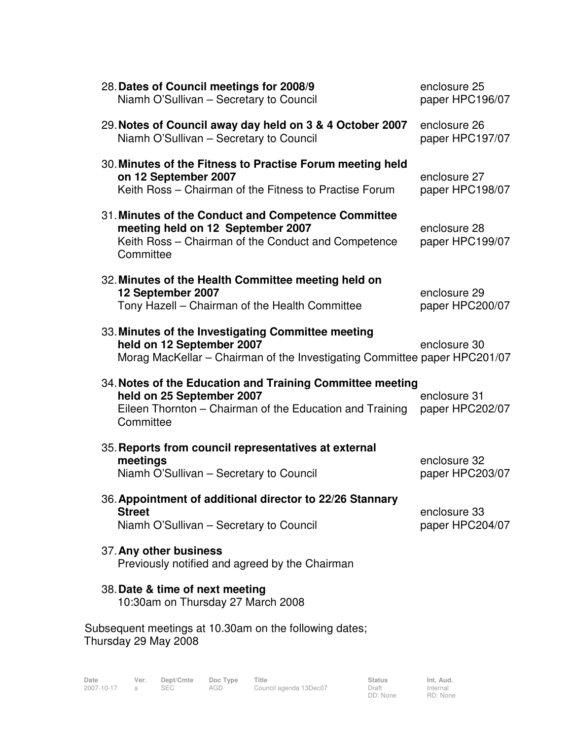|  | 28. Dates of Council meetings for 2008/9<br>Niamh O'Sullivan - Secretary to Council                                                                             | enclosure 25<br>paper HPC196/07 |
|--|-----------------------------------------------------------------------------------------------------------------------------------------------------------------|---------------------------------|
|  | 29. Notes of Council away day held on 3 & 4 October 2007<br>Niamh O'Sullivan - Secretary to Council                                                             | enclosure 26<br>paper HPC197/07 |
|  | 30. Minutes of the Fitness to Practise Forum meeting held<br>on 12 September 2007<br>Keith Ross – Chairman of the Fitness to Practise Forum                     | enclosure 27<br>paper HPC198/07 |
|  | 31. Minutes of the Conduct and Competence Committee<br>meeting held on 12 September 2007<br>Keith Ross - Chairman of the Conduct and Competence<br>Committee    | enclosure 28<br>paper HPC199/07 |
|  | 32. Minutes of the Health Committee meeting held on<br>12 September 2007<br>Tony Hazell - Chairman of the Health Committee                                      | enclosure 29<br>paper HPC200/07 |
|  | 33. Minutes of the Investigating Committee meeting<br>held on 12 September 2007<br>Morag MacKellar - Chairman of the Investigating Committee paper HPC201/07    | enclosure 30                    |
|  | 34. Notes of the Education and Training Committee meeting<br>held on 25 September 2007<br>Eileen Thornton – Chairman of the Education and Training<br>Committee | enclosure 31<br>paper HPC202/07 |
|  | 35. Reports from council representatives at external<br>meetings<br>Niamh O'Sullivan - Secretary to Council                                                     | enclosure 32<br>paper HPC203/07 |
|  | 36. Appointment of additional director to 22/26 Stannary<br><b>Street</b><br>Niamh O'Sullivan - Secretary to Council                                            | enclosure 33<br>paper HPC204/07 |
|  | 37. Any other business<br>Previously notified and agreed by the Chairman                                                                                        |                                 |
|  | 38. Date & time of next meeting<br>10:30am on Thursday 27 March 2008                                                                                            |                                 |
|  | Subsequent meetings at 10.30am on the following dates;                                                                                                          |                                 |

Thursday 29 May 2008